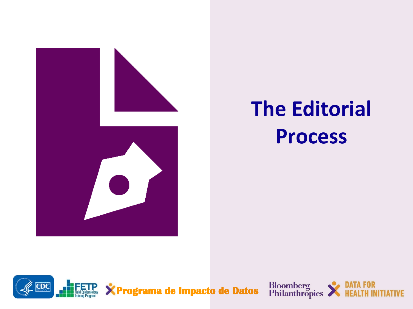

# **The Editorial Process**



Bloomberg<br>Philanthropies

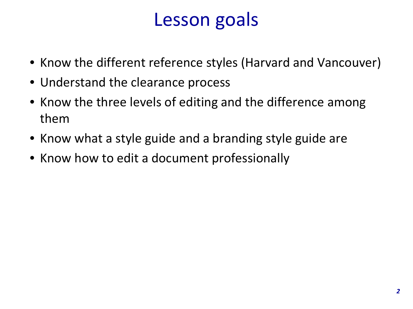## Lesson goals

- Know the different reference styles (Harvard and Vancouver)
- Understand the clearance process
- Know the three levels of editing and the difference among them
- Know what a style guide and a branding style guide are
- Know how to edit a document professionally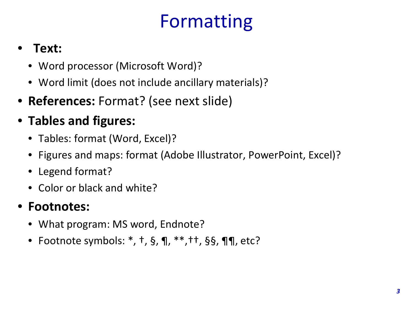# Formatting

#### • **Text:**

- Word processor (Microsoft Word)?
- Word limit (does not include ancillary materials)?
- **References:** Format? (see next slide)
- **Tables and figures:**
	- Tables: format (Word, Excel)?
	- Figures and maps: format (Adobe Illustrator, PowerPoint, Excel)?
	- Legend format?
	- Color or black and white?

#### • **Footnotes:**

- What program: MS word, Endnote?
- Footnote symbols: \*, †, §, ¶, \*\*,††, §§, ¶¶, etc?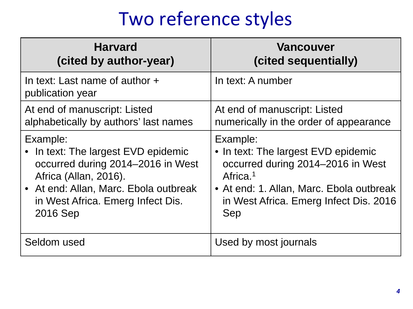## Two reference styles

| <b>Harvard</b>                                     | <b>Vancouver</b>                         |
|----------------------------------------------------|------------------------------------------|
| (cited by author-year)                             | (cited sequentially)                     |
| In text: Last name of author +<br>publication year | In text: A number                        |
| At end of manuscript: Listed                       | At end of manuscript: Listed             |
| alphabetically by authors' last names              | numerically in the order of appearance   |
| Example:                                           | Example:                                 |
| • In text: The largest EVD epidemic                | • In text: The largest EVD epidemic      |
| occurred during 2014-2016 in West                  | occurred during 2014-2016 in West        |
| Africa (Allan, 2016).                              | Africa. <sup>1</sup>                     |
| • At end: Allan, Marc. Ebola outbreak              | • At end: 1. Allan, Marc. Ebola outbreak |
| in West Africa. Emerg Infect Dis.                  | in West Africa. Emerg Infect Dis. 2016   |
| 2016 Sep                                           | Sep                                      |
| Seldom used                                        | Used by most journals                    |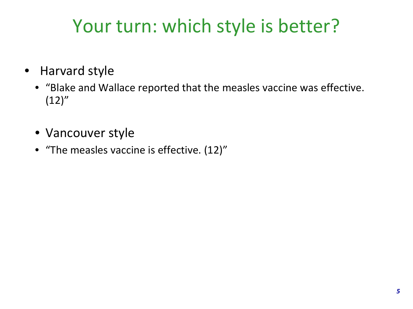# Your turn: which style is better?

- Harvard style
	- "Blake and Wallace reported that the measles vaccine was effective.  $(12)''$
	- Vancouver style
	- "The measles vaccine is effective. (12)"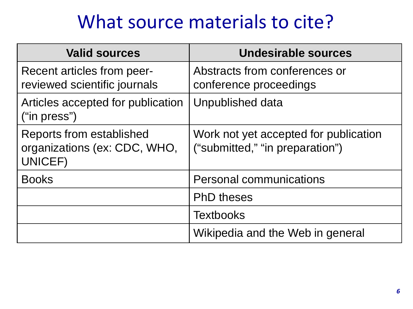### What source materials to cite?

| <b>Valid sources</b>                                                       | Undesirable sources                                                      |
|----------------------------------------------------------------------------|--------------------------------------------------------------------------|
| <b>Recent articles from peer-</b><br>reviewed scientific journals          | Abstracts from conferences or<br>conference proceedings                  |
| Articles accepted for publication<br>("in press")                          | Unpublished data                                                         |
| <b>Reports from established</b><br>organizations (ex: CDC, WHO,<br>UNICEF) | Work not yet accepted for publication<br>("submitted," "in preparation") |
| <b>Books</b>                                                               | <b>Personal communications</b>                                           |
|                                                                            | <b>PhD theses</b>                                                        |
|                                                                            | <b>Textbooks</b>                                                         |
|                                                                            | Wikipedia and the Web in general                                         |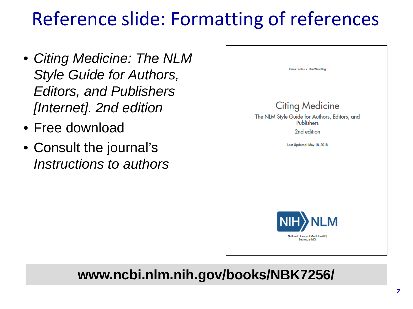# Reference slide: Formatting of references

- *Citing Medicine: The NLM Style Guide for Authors, Editors, and Publishers [Internet]. 2nd edition*
- Free download
- Consult the journal's *Instructions to authors*



#### **www.ncbi.nlm.nih.gov/books/NBK7256/**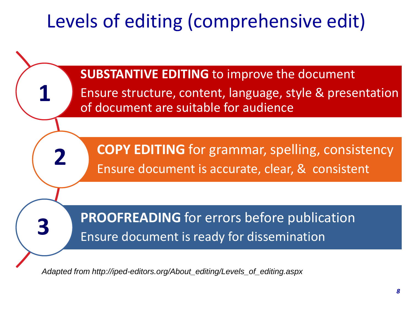# Levels of editing (comprehensive edit)



*Adapted from http://iped-editors.org/About\_editing/Levels\_of\_editing.aspx*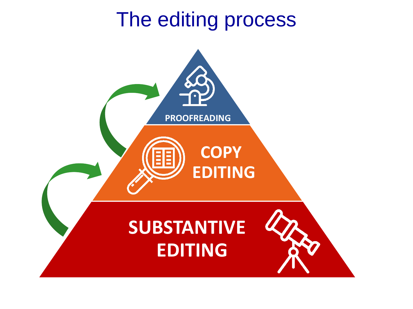# The editing process

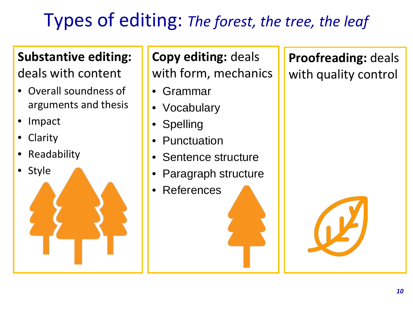## Types of editing: *The forest, the tree, the leaf*

#### **Substantive editing:**

deals with content

- Overall soundness of arguments and thesis
- Impact
- **Clarity**
- **Readability**
- Style

**Copy editing:** deals with form, mechanics

- Grammar
- Vocabulary
- Spelling
- **Punctuation**
- Sentence structure
- Paragraph structure
- **References**

**Proofreading:** deals with quality control

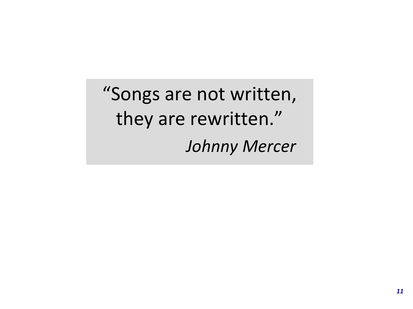"Songs are not written, they are rewritten." *Johnny Mercer*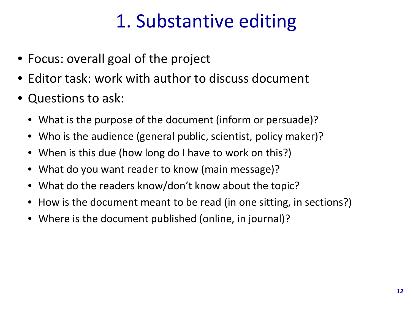## 1. Substantive editing

- Focus: overall goal of the project
- Editor task: work with author to discuss document
- Questions to ask:
	- What is the purpose of the document (inform or persuade)?
	- Who is the audience (general public, scientist, policy maker)?
	- When is this due (how long do I have to work on this?)
	- What do you want reader to know (main message)?
	- What do the readers know/don't know about the topic?
	- How is the document meant to be read (in one sitting, in sections?)
	- Where is the document published (online, in journal)?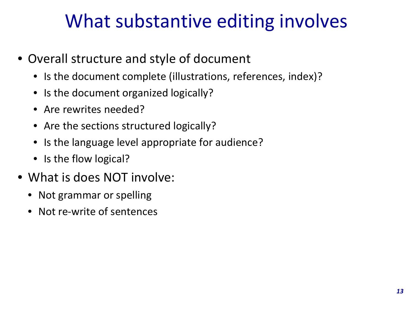## What substantive editing involves

- Overall structure and style of document
	- Is the document complete (illustrations, references, index)?
	- Is the document organized logically?
	- Are rewrites needed?
	- Are the sections structured logically?
	- Is the language level appropriate for audience?
	- Is the flow logical?
- What is does NOT involve:
	- Not grammar or spelling
	- Not re-write of sentences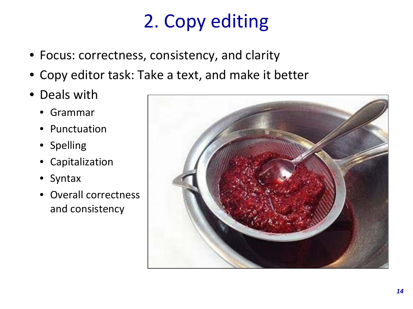# 2. Copy editing

- Focus: correctness, consistency, and clarity
- Copy editor task: Take a text, and make it better
- Deals with
	- Grammar
	- Punctuation
	- Spelling
	- Capitalization
	- Syntax
	- Overall correctness and consistency

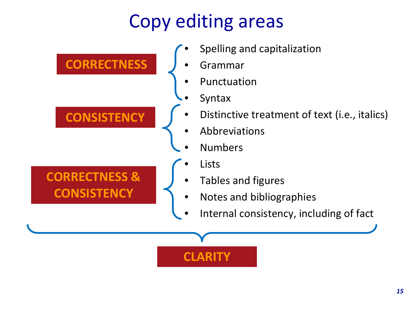# Copy editing areas

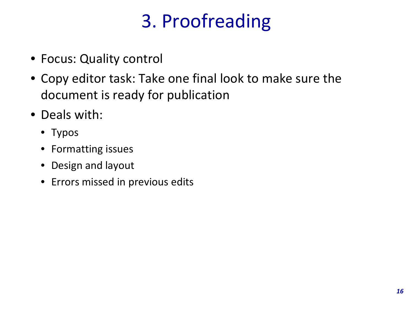# 3. Proofreading

- Focus: Quality control
- Copy editor task: Take one final look to make sure the document is ready for publication
- Deals with:
	- Typos
	- Formatting issues
	- Design and layout
	- Errors missed in previous edits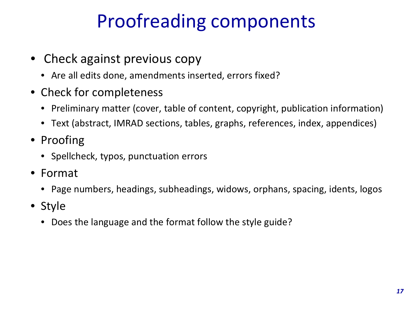## Proofreading components

- Check against previous copy
	- Are all edits done, amendments inserted, errors fixed?
- Check for completeness
	- Preliminary matter (cover, table of content, copyright, publication information)
	- Text (abstract, IMRAD sections, tables, graphs, references, index, appendices)
- Proofing
	- Spellcheck, typos, punctuation errors
- Format
	- Page numbers, headings, subheadings, widows, orphans, spacing, idents, logos
- Style
	- Does the language and the format follow the style guide?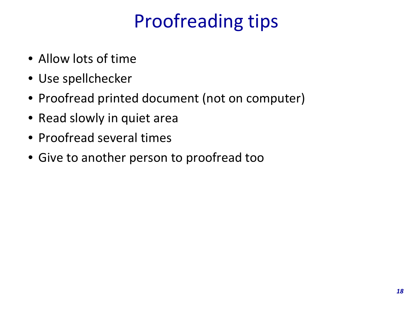# Proofreading tips

- Allow lots of time
- Use spellchecker
- Proofread printed document (not on computer)
- Read slowly in quiet area
- Proofread several times
- Give to another person to proofread too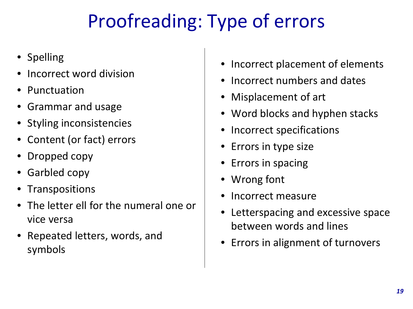# Proofreading: Type of errors

- Spelling
- Incorrect word division
- Punctuation
- Grammar and usage
- Styling inconsistencies
- Content (or fact) errors
- Dropped copy
- Garbled copy
- Transpositions
- The letter ell for the numeral one or vice versa
- Repeated letters, words, and symbols
- Incorrect placement of elements
- Incorrect numbers and dates
- Misplacement of art
- Word blocks and hyphen stacks
- Incorrect specifications
- Errors in type size
- Errors in spacing
- Wrong font
- Incorrect measure
- Letterspacing and excessive space between words and lines
- Errors in alignment of turnovers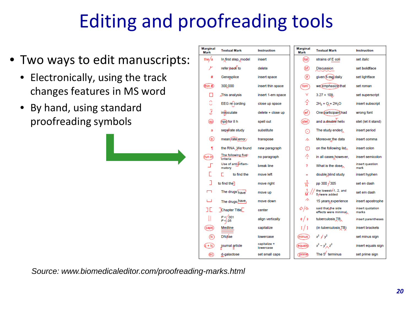# Editing and proofreading tools

- Two ways to edit manuscripts:
	- Electronically, using the track changes features in MS word
	- By hand, using standard proofreading symbols

| <b>Marginal</b><br>Mark | <b>Textual Mark</b>             | <b>Instruction</b>        | <b>Marginal</b><br>Mark  | <b>Textual Mark</b>                         | <b>Instruction</b>        |
|-------------------------|---------------------------------|---------------------------|--------------------------|---------------------------------------------|---------------------------|
| the/a                   | In first step, model            | insert                    | (ítal)                   | strains of E coli                           | set <i>italic</i>         |
|                         | refer back to                   | delete                    | (bf)                     | <b>Discussion</b>                           | set boldface              |
| #                       | Genesplice                      | insert space              | (If)                     | given (5 mg) daily                          | set lightface             |
| thin #                  | 300,000                         | insert thin space         | rom                      | we emphasize that                           | set roman                 |
| П                       | This analysis                   | insert 1-em space         | v                        | $3.27 \times 109$                           | set superscript           |
| n<br>Ü                  | EEG recording                   | close up space            | 5                        | $2H_2 + Q = 2H_2O$                          | insert subscript          |
| Ĵ                       | innoculate                      | delete + close up         | (wf)                     | One participant) had                        | wrong font                |
| ௐ                       | mpo for 8 h                     | spell out                 | stet                     | and a double helix                          | stet (let it stand)       |
| a                       | seperate study                  | substitute                | $\left( \bullet \right)$ | The study ended                             | insert period             |
| (tr)                    | mean/rate/error/                | transpose                 | ∧                        | Moreover the data                           | insert comma              |
| ſ                       | the RNA. We found               | new paragraph             | ⊕                        | on the following list.                      | insert colon              |
| (run in)                | The following five<br>criteria  | no paragraph              | Ą                        | in all cases however,                       | insert semicolon          |
|                         | Use of anti-inflam-<br>matory   | break line                | ?                        | What is the dose                            | insert question<br>mark   |
|                         | г<br>to find the                | move left                 | $=$                      | double, blind study                         | insert hyphen             |
|                         | to find the                     | move right                |                          | pp 300 / 305                                | set en dash               |
| $\Box$                  | The drugs have                  | move up                   |                          | the lowest-1, 2, and<br>5-were added        | set em dash               |
|                         | The drugs have                  | move down                 | ́                        | 15 years experience                         | insert apostrophe         |
| ıг                      | <b>Chapter Title</b>            | center                    | るなん ふくしょう ふくしゅう          | said that the side<br>effects were minimal. | insert quotation<br>marks |
|                         | P <r.001<br>P&lt; 05</r.001<br> | align vertically          | ∉/ ≱                     | tuberculosis TB,                            | insert parentheses        |
| caps                    | Medline                         | capitalize                | U 1                      | (in tuberculosis TB)                        | insert brackets           |
| (lc)                    | <b>DN</b> /kse                  | lowercase                 | (minus)                  | $x^2 + y^2$                                 | set minus sign            |
| $c + ic$                | journal article                 | capitalize +<br>lowercase | equals)                  | $x^2 - y^2$ , $z^2$                         | insert equals sign        |
| (SC)                    | d-galactose                     | set small caps            | (prime)                  | The $51$ terminus                           | set prime sign            |

*Source: www.biomedicaleditor.com/proofreading-marks.html*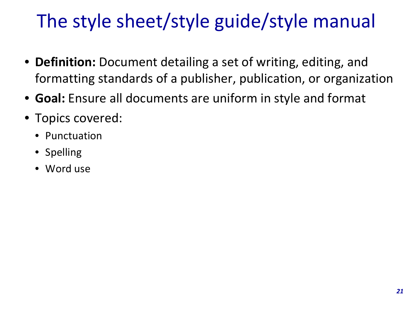# The style sheet/style guide/style manual

- **Definition:** Document detailing a set of writing, editing, and formatting standards of a publisher, publication, or organization
- **Goal:** Ensure all documents are uniform in style and format
- Topics covered:
	- Punctuation
	- Spelling
	- Word use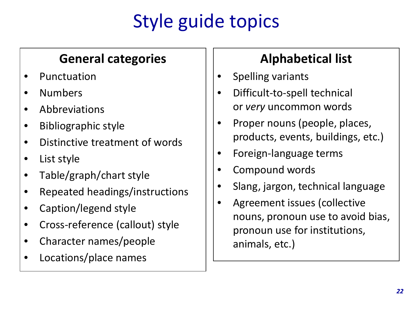# Style guide topics

#### **General categories**

- **Punctuation**
- Numbers
- Abbreviations
- Bibliographic style
- Distinctive treatment of words
- List style
- Table/graph/chart style
- Repeated headings/instructions
- Caption/legend style
- Cross-reference (callout) style
- Character names/people
- Locations/place names

#### **Alphabetical list**

- Spelling variants
- Difficult-to-spell technical or *very* uncommon words
- Proper nouns (people, places, products, events, buildings, etc.)
- Foreign-language terms
- Compound words
- Slang, jargon, technical language
- Agreement issues (collective nouns, pronoun use to avoid bias, pronoun use for institutions, animals, etc.)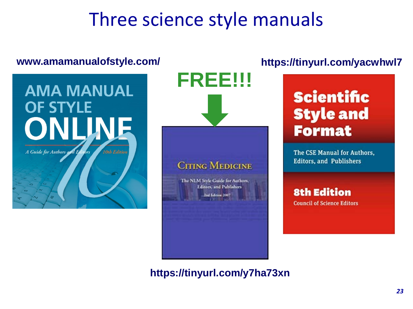## Three science style manuals



#### **https://tinyurl.com/yacwhwl7**

### **Scientific Style and Format**

The CSE Manual for Authors. **Editors, and Publishers** 

#### **8th Edition**

**Council of Science Editors** 

**https://tinyurl.com/y7ha73xn**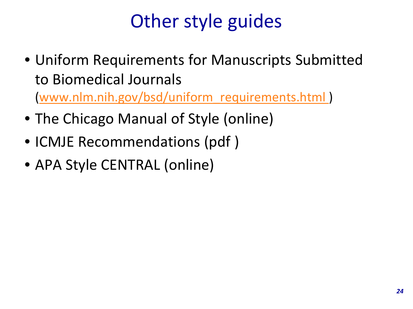# Other style guides

- Uniform Requirements for Manuscripts Submitted to Biomedical Journals [\(www.nlm.nih.gov/bsd/uniform\\_requirements.html](http://www.nlm.nih.gov/bsd/uniform_requirements.html) )
- The Chicago Manual of Style (online)
- ICMJE Recommendations (pdf )
- APA Style CENTRAL (online)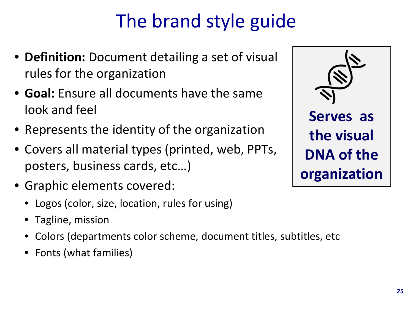# The brand style guide

- **Definition:** Document detailing a set of visual rules for the organization
- **Goal:** Ensure all documents have the same look and feel
- Represents the identity of the organization
- Covers all material types (printed, web, PPTs, posters, business cards, etc…)
- Graphic elements covered:
	- Logos (color, size, location, rules for using)
	- Tagline, mission
	- Colors (departments color scheme, document titles, subtitles, etc
	- Fonts (what families)

**Serves as the visual DNA of the organization**